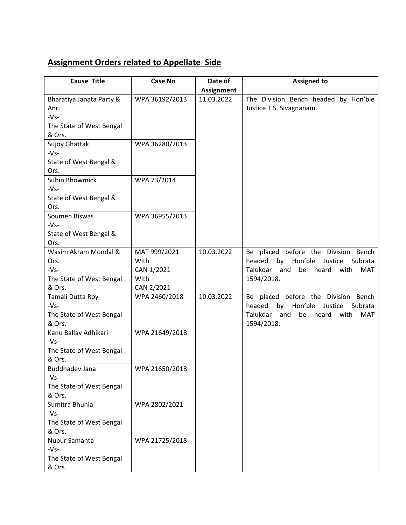## **Assignment Orders related to Appellate Side**

| <b>Cause Title</b>       | <b>Case No</b> | Date of           | <b>Assigned to</b>                                   |
|--------------------------|----------------|-------------------|------------------------------------------------------|
|                          |                | <b>Assignment</b> |                                                      |
| Bharatiya Janata Party & | WPA 36192/2013 | 11.03.2022        | The Division Bench headed by Hon'ble                 |
| Anr.                     |                |                   | Justice T.S. Sivagnanam.                             |
| $-Vs-$                   |                |                   |                                                      |
| The State of West Bengal |                |                   |                                                      |
| & Ors.                   |                |                   |                                                      |
| Sujoy Ghattak            | WPA 36280/2013 |                   |                                                      |
| $-Vs-$                   |                |                   |                                                      |
| State of West Bengal &   |                |                   |                                                      |
| Ors.                     |                |                   |                                                      |
| Subin Bhowmick           | WPA 73/2014    |                   |                                                      |
| $-Vs-$                   |                |                   |                                                      |
| State of West Bengal &   |                |                   |                                                      |
| Ors.                     |                |                   |                                                      |
| Soumen Biswas            | WPA 36955/2013 |                   |                                                      |
| $-Vs-$                   |                |                   |                                                      |
| State of West Bengal &   |                |                   |                                                      |
| Ors.                     |                |                   |                                                      |
| Wasim Akram Mondal &     | MAT 999/2021   | 10.03.2022        | Be placed before the Division Bench                  |
| Ors.                     | With           |                   | Hon'ble<br>headed<br>by<br>Justice<br>Subrata        |
| $-Vs-$                   | CAN 1/2021     |                   | Talukdar<br>be heard<br>and<br>with<br>MAT           |
| The State of West Bengal | With           |                   | 1594/2018.                                           |
| & Ors.                   | CAN 2/2021     |                   |                                                      |
| Tamali Dutta Roy         | WPA 2460/2018  | 10.03.2022        | Be placed before the Division<br>Bench               |
| $-Vs-$                   |                |                   | Hon'ble<br>by<br>headed<br>Justice<br>Subrata        |
| The State of West Bengal |                |                   | Talukdar<br>and<br>be<br>heard<br><b>MAT</b><br>with |
| & Ors.                   |                |                   | 1594/2018.                                           |
| Kanu Ballav Adhikari     | WPA 21649/2018 |                   |                                                      |
| $-Vs-$                   |                |                   |                                                      |
| The State of West Bengal |                |                   |                                                      |
| & Ors.                   |                |                   |                                                      |
| <b>Buddhadev Jana</b>    | WPA 21650/2018 |                   |                                                      |
| $-Vs-$                   |                |                   |                                                      |
| The State of West Bengal |                |                   |                                                      |
| & Ors.                   |                |                   |                                                      |
| Sumitra Bhunia           | WPA 2802/2021  |                   |                                                      |
| $-Vs-$                   |                |                   |                                                      |
| The State of West Bengal |                |                   |                                                      |
| & Ors.                   |                |                   |                                                      |
| Nupur Samanta            | WPA 21725/2018 |                   |                                                      |
| $-Vs-$                   |                |                   |                                                      |
| The State of West Bengal |                |                   |                                                      |
| & Ors.                   |                |                   |                                                      |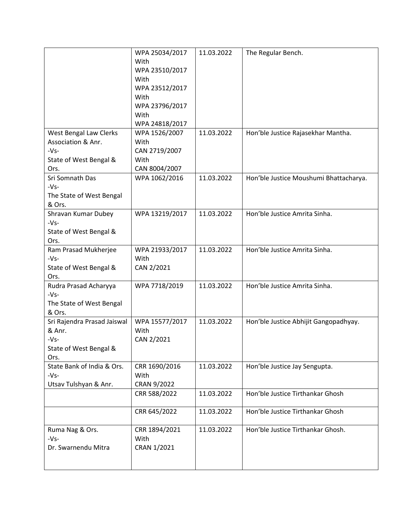|                             | WPA 25034/2017 | 11.03.2022 | The Regular Bench.                     |
|-----------------------------|----------------|------------|----------------------------------------|
|                             | With           |            |                                        |
|                             | WPA 23510/2017 |            |                                        |
|                             | With           |            |                                        |
|                             | WPA 23512/2017 |            |                                        |
|                             | With           |            |                                        |
|                             | WPA 23796/2017 |            |                                        |
|                             | With           |            |                                        |
|                             | WPA 24818/2017 |            |                                        |
| West Bengal Law Clerks      | WPA 1526/2007  | 11.03.2022 | Hon'ble Justice Rajasekhar Mantha.     |
| Association & Anr.          | With           |            |                                        |
| $-Vs-$                      | CAN 2719/2007  |            |                                        |
| State of West Bengal &      | With           |            |                                        |
| Ors.                        | CAN 8004/2007  |            |                                        |
| Sri Somnath Das             | WPA 1062/2016  | 11.03.2022 | Hon'ble Justice Moushumi Bhattacharya. |
| $-Vs-$                      |                |            |                                        |
| The State of West Bengal    |                |            |                                        |
| & Ors.                      |                |            |                                        |
| Shravan Kumar Dubey         | WPA 13219/2017 | 11.03.2022 | Hon'ble Justice Amrita Sinha.          |
| $-Vs-$                      |                |            |                                        |
| State of West Bengal &      |                |            |                                        |
| Ors.                        |                |            |                                        |
| Ram Prasad Mukherjee        | WPA 21933/2017 | 11.03.2022 | Hon'ble Justice Amrita Sinha.          |
| $-Vs-$                      | With           |            |                                        |
| State of West Bengal &      | CAN 2/2021     |            |                                        |
| Ors.                        |                |            |                                        |
| Rudra Prasad Acharyya       | WPA 7718/2019  | 11.03.2022 | Hon'ble Justice Amrita Sinha.          |
| $-Vs-$                      |                |            |                                        |
| The State of West Bengal    |                |            |                                        |
| & Ors.                      |                |            |                                        |
| Sri Rajendra Prasad Jaiswal | WPA 15577/2017 | 11.03.2022 | Hon'ble Justice Abhijit Gangopadhyay.  |
| & Anr.                      | With           |            |                                        |
| $-Vs-$                      | CAN 2/2021     |            |                                        |
| State of West Bengal &      |                |            |                                        |
| Ors.                        |                |            |                                        |
| State Bank of India & Ors.  | CRR 1690/2016  | 11.03.2022 | Hon'ble Justice Jay Sengupta.          |
| $-Vs-$                      | With           |            |                                        |
| Utsav Tulshyan & Anr.       | CRAN 9/2022    |            |                                        |
|                             | CRR 588/2022   | 11.03.2022 | Hon'ble Justice Tirthankar Ghosh       |
|                             |                |            |                                        |
|                             | CRR 645/2022   | 11.03.2022 | Hon'ble Justice Tirthankar Ghosh       |
|                             |                |            |                                        |
| Ruma Nag & Ors.             | CRR 1894/2021  | 11.03.2022 | Hon'ble Justice Tirthankar Ghosh.      |
| $-Vs-$                      | With           |            |                                        |
| Dr. Swarnendu Mitra         | CRAN 1/2021    |            |                                        |
|                             |                |            |                                        |
|                             |                |            |                                        |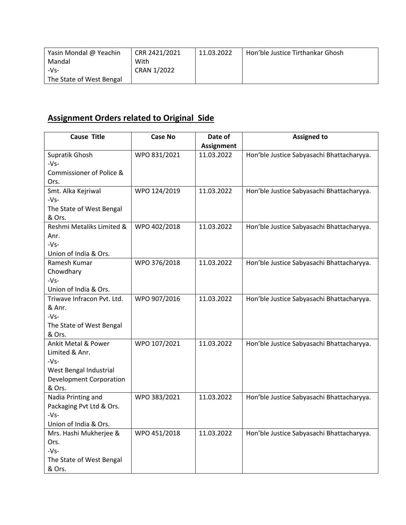| Yasin Mondal @ Yeachin   | CRR 2421/2021 | 11.03.2022 | Hon'ble Justice Tirthankar Ghosh |
|--------------------------|---------------|------------|----------------------------------|
| Mandal                   | With          |            |                                  |
| $-Vs-$                   | CRAN 1/2022   |            |                                  |
| The State of West Bengal |               |            |                                  |

## **Assignment Orders related to Original Side**

| <b>Cause Title</b>             | Case No      | Date of           | <b>Assigned to</b>                        |
|--------------------------------|--------------|-------------------|-------------------------------------------|
|                                |              | <b>Assignment</b> |                                           |
| Supratik Ghosh                 | WPO 831/2021 | 11.03.2022        | Hon'ble Justice Sabyasachi Bhattacharyya. |
| $-Vs-$                         |              |                   |                                           |
| Commissioner of Police &       |              |                   |                                           |
| Ors.                           |              |                   |                                           |
| Smt. Alka Kejriwal             | WPO 124/2019 | 11.03.2022        | Hon'ble Justice Sabyasachi Bhattacharyya. |
| $-Vs-$                         |              |                   |                                           |
| The State of West Bengal       |              |                   |                                           |
| & Ors.                         |              |                   |                                           |
| Reshmi Metaliks Limited &      | WPO 402/2018 | 11.03.2022        | Hon'ble Justice Sabyasachi Bhattacharyya. |
| Anr.                           |              |                   |                                           |
| $-Vs-$                         |              |                   |                                           |
| Union of India & Ors.          |              |                   |                                           |
| Ramesh Kumar                   | WPO 376/2018 | 11.03.2022        | Hon'ble Justice Sabyasachi Bhattacharyya. |
| Chowdhary                      |              |                   |                                           |
| $-Vs-$                         |              |                   |                                           |
| Union of India & Ors.          |              |                   |                                           |
| Triwave Infracon Pvt. Ltd.     | WPO 907/2016 | 11.03.2022        | Hon'ble Justice Sabyasachi Bhattacharyya. |
| & Anr.                         |              |                   |                                           |
| $-Vs-$                         |              |                   |                                           |
| The State of West Bengal       |              |                   |                                           |
| & Ors.                         |              |                   |                                           |
| <b>Ankit Metal &amp; Power</b> | WPO 107/2021 | 11.03.2022        | Hon'ble Justice Sabyasachi Bhattacharyya. |
| Limited & Anr.                 |              |                   |                                           |
| $-Vs-$                         |              |                   |                                           |
| West Bengal Industrial         |              |                   |                                           |
| <b>Development Corporation</b> |              |                   |                                           |
| & Ors.                         |              |                   |                                           |
| Nadia Printing and             | WPO 383/2021 | 11.03.2022        | Hon'ble Justice Sabyasachi Bhattacharyya. |
| Packaging Pvt Ltd & Ors.       |              |                   |                                           |
| $-Vs-$                         |              |                   |                                           |
| Union of India & Ors.          |              |                   |                                           |
| Mrs. Hashi Mukherjee &         | WPO 451/2018 | 11.03.2022        | Hon'ble Justice Sabyasachi Bhattacharyya. |
| Ors.                           |              |                   |                                           |
| $-Vs-$                         |              |                   |                                           |
| The State of West Bengal       |              |                   |                                           |
| & Ors.                         |              |                   |                                           |